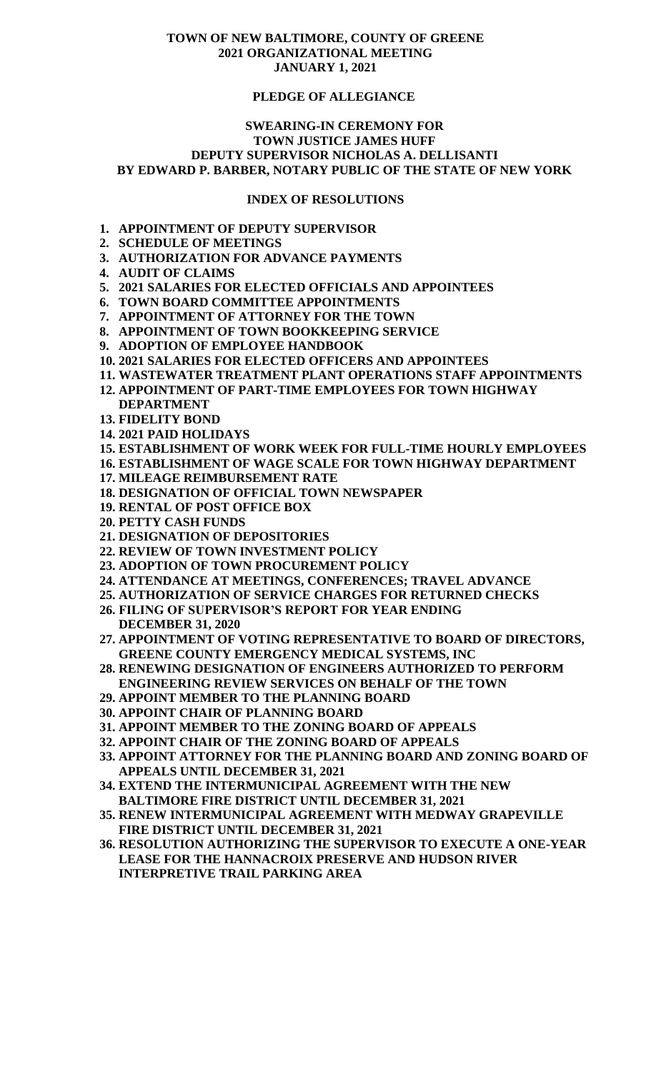### **TOWN OF NEW BALTIMORE, COUNTY OF GREENE 2021 ORGANIZATIONAL MEETING JANUARY 1, 2021**

# **PLEDGE OF ALLEGIANCE**

# **SWEARING-IN CEREMONY FOR TOWN JUSTICE JAMES HUFF DEPUTY SUPERVISOR NICHOLAS A. DELLISANTI BY EDWARD P. BARBER, NOTARY PUBLIC OF THE STATE OF NEW YORK**

#### **INDEX OF RESOLUTIONS**

- **1. APPOINTMENT OF DEPUTY SUPERVISOR**
- **2. SCHEDULE OF MEETINGS**
- **3. AUTHORIZATION FOR ADVANCE PAYMENTS**
- **4. AUDIT OF CLAIMS**
- **5. 2021 SALARIES FOR ELECTED OFFICIALS AND APPOINTEES**
- **6. TOWN BOARD COMMITTEE APPOINTMENTS**
- **7. APPOINTMENT OF ATTORNEY FOR THE TOWN**
- **8. APPOINTMENT OF TOWN BOOKKEEPING SERVICE**
- **9. ADOPTION OF EMPLOYEE HANDBOOK**
- **10. 2021 SALARIES FOR ELECTED OFFICERS AND APPOINTEES**
- **11. WASTEWATER TREATMENT PLANT OPERATIONS STAFF APPOINTMENTS**
- **12. APPOINTMENT OF PART-TIME EMPLOYEES FOR TOWN HIGHWAY DEPARTMENT**
- **13. FIDELITY BOND**
- **14. 2021 PAID HOLIDAYS**
- **15. ESTABLISHMENT OF WORK WEEK FOR FULL-TIME HOURLY EMPLOYEES**
- **16. ESTABLISHMENT OF WAGE SCALE FOR TOWN HIGHWAY DEPARTMENT**
- **17. MILEAGE REIMBURSEMENT RATE**
- **18. DESIGNATION OF OFFICIAL TOWN NEWSPAPER**
- **19. RENTAL OF POST OFFICE BOX**
- **20. PETTY CASH FUNDS**
- **21. DESIGNATION OF DEPOSITORIES**
- **22. REVIEW OF TOWN INVESTMENT POLICY**
- **23. ADOPTION OF TOWN PROCUREMENT POLICY**
- **24. ATTENDANCE AT MEETINGS, CONFERENCES; TRAVEL ADVANCE**
- **25. AUTHORIZATION OF SERVICE CHARGES FOR RETURNED CHECKS**
- **26. FILING OF SUPERVISOR'S REPORT FOR YEAR ENDING DECEMBER 31, 2020**
- **27. APPOINTMENT OF VOTING REPRESENTATIVE TO BOARD OF DIRECTORS, GREENE COUNTY EMERGENCY MEDICAL SYSTEMS, INC**
- **28. RENEWING DESIGNATION OF ENGINEERS AUTHORIZED TO PERFORM ENGINEERING REVIEW SERVICES ON BEHALF OF THE TOWN**
- **29. APPOINT MEMBER TO THE PLANNING BOARD**
- **30. APPOINT CHAIR OF PLANNING BOARD**
- **31. APPOINT MEMBER TO THE ZONING BOARD OF APPEALS**
- **32. APPOINT CHAIR OF THE ZONING BOARD OF APPEALS**
- **33. APPOINT ATTORNEY FOR THE PLANNING BOARD AND ZONING BOARD OF APPEALS UNTIL DECEMBER 31, 2021**
- **34. EXTEND THE INTERMUNICIPAL AGREEMENT WITH THE NEW BALTIMORE FIRE DISTRICT UNTIL DECEMBER 31, 2021**
- **35. RENEW INTERMUNICIPAL AGREEMENT WITH MEDWAY GRAPEVILLE FIRE DISTRICT UNTIL DECEMBER 31, 2021**
- **36. RESOLUTION AUTHORIZING THE SUPERVISOR TO EXECUTE A ONE-YEAR LEASE FOR THE HANNACROIX PRESERVE AND HUDSON RIVER INTERPRETIVE TRAIL PARKING AREA**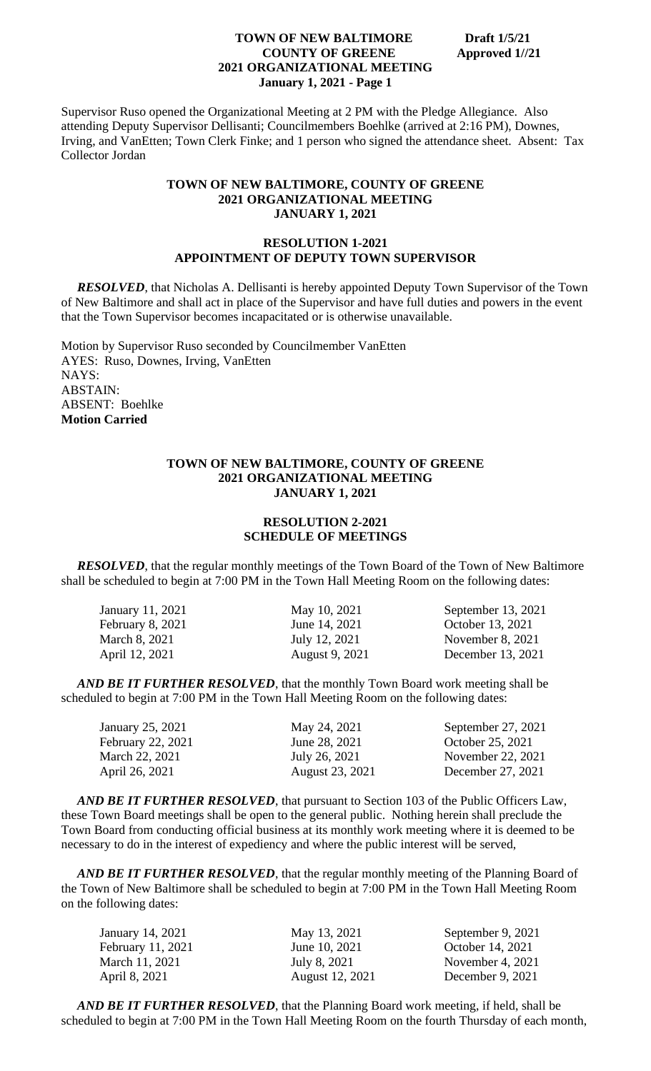Supervisor Ruso opened the Organizational Meeting at 2 PM with the Pledge Allegiance. Also attending Deputy Supervisor Dellisanti; Councilmembers Boehlke (arrived at 2:16 PM), Downes, Irving, and VanEtten; Town Clerk Finke; and 1 person who signed the attendance sheet. Absent: Tax Collector Jordan

# **TOWN OF NEW BALTIMORE, COUNTY OF GREENE 2021 ORGANIZATIONAL MEETING JANUARY 1, 2021**

#### **RESOLUTION 1-2021 APPOINTMENT OF DEPUTY TOWN SUPERVISOR**

 *RESOLVED*, that Nicholas A. Dellisanti is hereby appointed Deputy Town Supervisor of the Town of New Baltimore and shall act in place of the Supervisor and have full duties and powers in the event that the Town Supervisor becomes incapacitated or is otherwise unavailable.

Motion by Supervisor Ruso seconded by Councilmember VanEtten AYES: Ruso, Downes, Irving, VanEtten NAYS: ABSTAIN: ABSENT: Boehlke **Motion Carried**

## **TOWN OF NEW BALTIMORE, COUNTY OF GREENE 2021 ORGANIZATIONAL MEETING JANUARY 1, 2021**

# **RESOLUTION 2-2021 SCHEDULE OF MEETINGS**

*RESOLVED*, that the regular monthly meetings of the Town Board of the Town of New Baltimore shall be scheduled to begin at 7:00 PM in the Town Hall Meeting Room on the following dates:

| January 11, 2021 | May 10, 2021          | September 13, 2021 |
|------------------|-----------------------|--------------------|
| February 8, 2021 | June 14, 2021         | October 13, 2021   |
| March 8, 2021    | July 12, 2021         | November 8, 2021   |
| April 12, 2021   | <b>August 9, 2021</b> | December 13, 2021  |

*AND BE IT FURTHER RESOLVED*, that the monthly Town Board work meeting shall be scheduled to begin at 7:00 PM in the Town Hall Meeting Room on the following dates:

| January 25, 2021  | May 24, 2021    | September 27, 2021 |
|-------------------|-----------------|--------------------|
| February 22, 2021 | June 28, 2021   | October 25, 2021   |
| March 22, 2021    | July 26, 2021   | November 22, 2021  |
| April 26, 2021    | August 23, 2021 | December 27, 2021  |

*AND BE IT FURTHER RESOLVED*, that pursuant to Section 103 of the Public Officers Law, these Town Board meetings shall be open to the general public. Nothing herein shall preclude the Town Board from conducting official business at its monthly work meeting where it is deemed to be necessary to do in the interest of expediency and where the public interest will be served,

 *AND BE IT FURTHER RESOLVED*, that the regular monthly meeting of the Planning Board of the Town of New Baltimore shall be scheduled to begin at 7:00 PM in the Town Hall Meeting Room on the following dates:

| January 14, 2021  | May 13, 2021           | September 9, 2021  |
|-------------------|------------------------|--------------------|
| February 11, 2021 | June 10, 2021          | October 14, 2021   |
| March 11, 2021    | July 8, 2021           | November 4, $2021$ |
| April 8, 2021     | <b>August</b> 12, 2021 | December 9, 2021   |

 *AND BE IT FURTHER RESOLVED*, that the Planning Board work meeting, if held, shall be scheduled to begin at 7:00 PM in the Town Hall Meeting Room on the fourth Thursday of each month,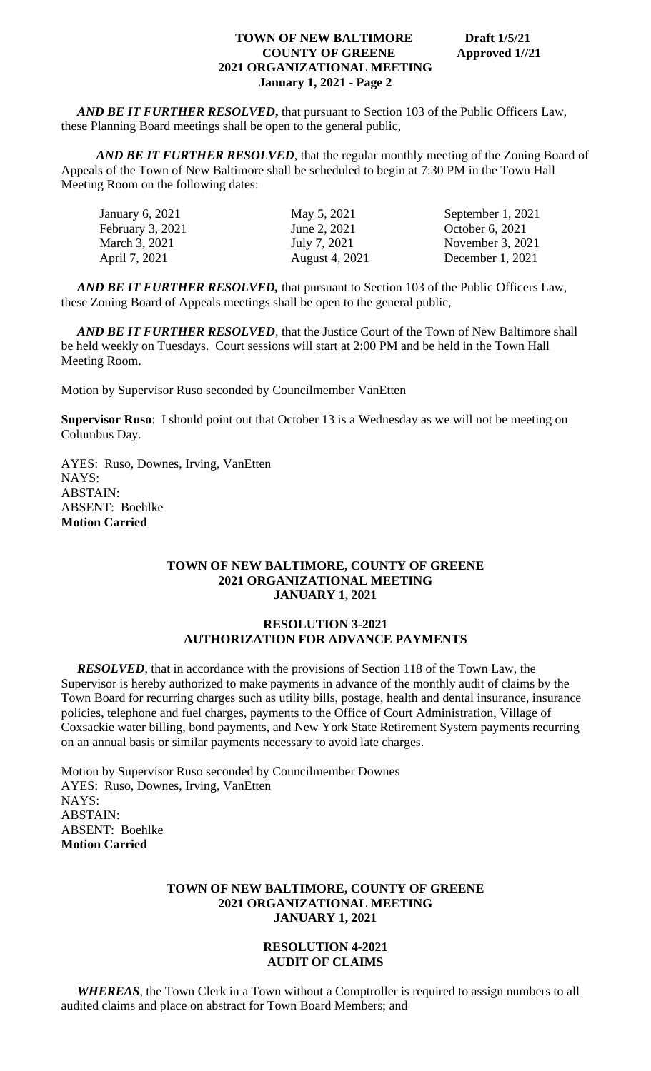*AND BE IT FURTHER RESOLVED***,** that pursuant to Section 103 of the Public Officers Law, these Planning Board meetings shall be open to the general public,

*AND BE IT FURTHER RESOLVED*, that the regular monthly meeting of the Zoning Board of Appeals of the Town of New Baltimore shall be scheduled to begin at 7:30 PM in the Town Hall Meeting Room on the following dates:

| January 6, 2021  | May 5, 2021           | September 1, 2021  |
|------------------|-----------------------|--------------------|
| February 3, 2021 | June 2, 2021          | October 6, 2021    |
| March 3, 2021    | July 7, 2021          | November $3, 2021$ |
| April 7, 2021    | <b>August 4, 2021</b> | December $1, 2021$ |
|                  |                       |                    |

*AND BE IT FURTHER RESOLVED,* that pursuant to Section 103 of the Public Officers Law, these Zoning Board of Appeals meetings shall be open to the general public,

*AND BE IT FURTHER RESOLVED*, that the Justice Court of the Town of New Baltimore shall be held weekly on Tuesdays. Court sessions will start at 2:00 PM and be held in the Town Hall Meeting Room.

Motion by Supervisor Ruso seconded by Councilmember VanEtten

**Supervisor Ruso**: I should point out that October 13 is a Wednesday as we will not be meeting on Columbus Day.

AYES: Ruso, Downes, Irving, VanEtten NAYS: ABSTAIN: ABSENT: Boehlke **Motion Carried**

#### **TOWN OF NEW BALTIMORE, COUNTY OF GREENE 2021 ORGANIZATIONAL MEETING JANUARY 1, 2021**

# **RESOLUTION 3-2021 AUTHORIZATION FOR ADVANCE PAYMENTS**

*RESOLVED*, that in accordance with the provisions of Section 118 of the Town Law, the Supervisor is hereby authorized to make payments in advance of the monthly audit of claims by the Town Board for recurring charges such as utility bills, postage, health and dental insurance, insurance policies, telephone and fuel charges, payments to the Office of Court Administration, Village of Coxsackie water billing, bond payments, and New York State Retirement System payments recurring on an annual basis or similar payments necessary to avoid late charges.

Motion by Supervisor Ruso seconded by Councilmember Downes AYES: Ruso, Downes, Irving, VanEtten NAYS: ABSTAIN: ABSENT: Boehlke **Motion Carried**

#### **TOWN OF NEW BALTIMORE, COUNTY OF GREENE 2021 ORGANIZATIONAL MEETING JANUARY 1, 2021**

# **RESOLUTION 4-2021 AUDIT OF CLAIMS**

 *WHEREAS*, the Town Clerk in a Town without a Comptroller is required to assign numbers to all audited claims and place on abstract for Town Board Members; and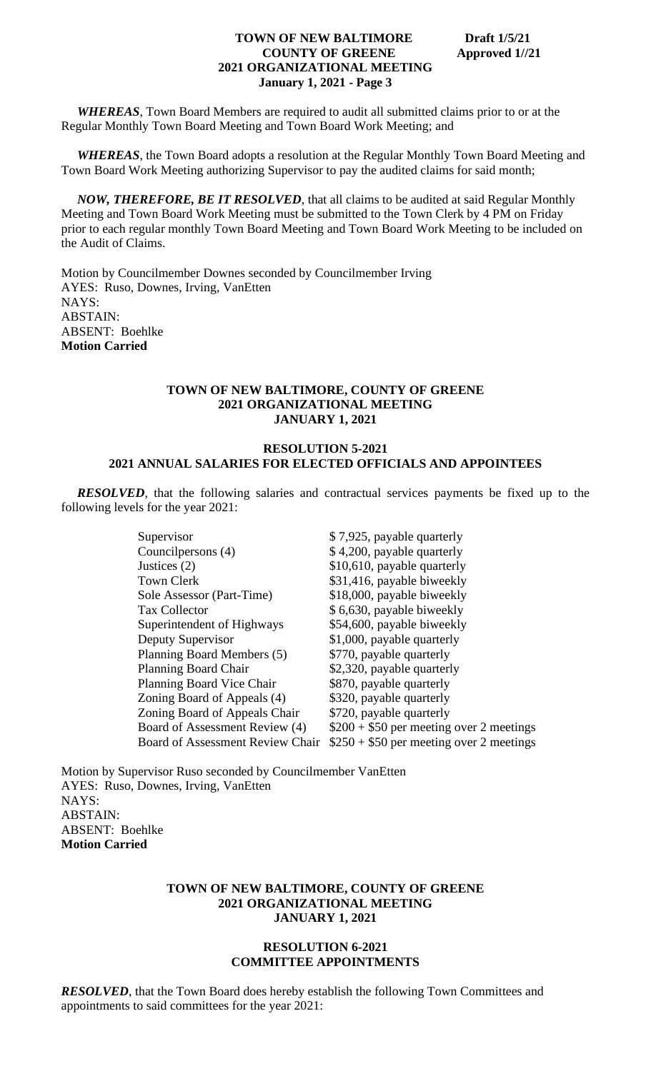*WHEREAS*, Town Board Members are required to audit all submitted claims prior to or at the Regular Monthly Town Board Meeting and Town Board Work Meeting; and

 *WHEREAS*, the Town Board adopts a resolution at the Regular Monthly Town Board Meeting and Town Board Work Meeting authorizing Supervisor to pay the audited claims for said month;

 *NOW, THEREFORE, BE IT RESOLVED*, that all claims to be audited at said Regular Monthly Meeting and Town Board Work Meeting must be submitted to the Town Clerk by 4 PM on Friday prior to each regular monthly Town Board Meeting and Town Board Work Meeting to be included on the Audit of Claims.

Motion by Councilmember Downes seconded by Councilmember Irving AYES: Ruso, Downes, Irving, VanEtten NAYS: ABSTAIN: ABSENT: Boehlke **Motion Carried**

#### **TOWN OF NEW BALTIMORE, COUNTY OF GREENE 2021 ORGANIZATIONAL MEETING JANUARY 1, 2021**

# **RESOLUTION 5-2021 2021 ANNUAL SALARIES FOR ELECTED OFFICIALS AND APPOINTEES**

 *RESOLVED*, that the following salaries and contractual services payments be fixed up to the following levels for the year 2021:

| Supervisor                              | \$7,925, payable quarterly               |
|-----------------------------------------|------------------------------------------|
| Councilpersons (4)                      | \$4,200, payable quarterly               |
| Justices $(2)$                          | \$10,610, payable quarterly              |
| <b>Town Clerk</b>                       | \$31,416, payable biweekly               |
| Sole Assessor (Part-Time)               | \$18,000, payable biweekly               |
| <b>Tax Collector</b>                    | \$6,630, payable biweekly                |
| Superintendent of Highways              | \$54,600, payable biweekly               |
| Deputy Supervisor                       | \$1,000, payable quarterly               |
| Planning Board Members (5)              | \$770, payable quarterly                 |
| <b>Planning Board Chair</b>             | \$2,320, payable quarterly               |
| Planning Board Vice Chair               | \$870, payable quarterly                 |
| Zoning Board of Appeals (4)             | \$320, payable quarterly                 |
| Zoning Board of Appeals Chair           | \$720, payable quarterly                 |
| Board of Assessment Review (4)          | $$200 + $50$ per meeting over 2 meetings |
| <b>Board of Assessment Review Chair</b> | $$250 + $50$ per meeting over 2 meetings |

Motion by Supervisor Ruso seconded by Councilmember VanEtten AYES: Ruso, Downes, Irving, VanEtten NAYS: ABSTAIN: ABSENT: Boehlke **Motion Carried**

#### **TOWN OF NEW BALTIMORE, COUNTY OF GREENE 2021 ORGANIZATIONAL MEETING JANUARY 1, 2021**

#### **RESOLUTION 6-2021 COMMITTEE APPOINTMENTS**

**RESOLVED**, that the Town Board does hereby establish the following Town Committees and appointments to said committees for the year 2021: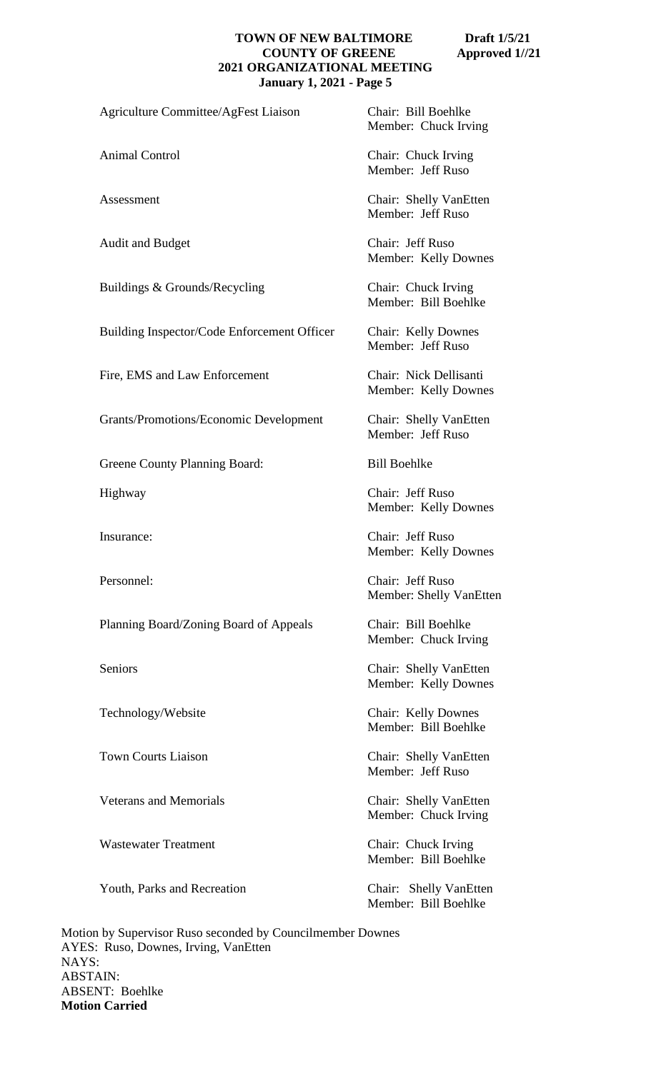Agriculture Committee/AgFest Liaison Chair: Bill Boehlke

Audit and Budget Chair: Jeff Ruso

Buildings & Grounds/Recycling Chair: Chuck Irving

Building Inspector/Code Enforcement Officer Chair: Kelly Downes

Fire, EMS and Law Enforcement Chair: Nick Dellisanti

Grants/Promotions/Economic Development Chair: Shelly VanEtten

Greene County Planning Board: Bill Boehlke

Planning Board/Zoning Board of Appeals Chair: Bill Boehlke

Veterans and Memorials Chair: Shelly VanEtten

Wastewater Treatment Chair: Chuck Irving

Youth, Parks and Recreation Chair: Shelly VanEtten

Member: Chuck Irving

Animal Control Chair: Chuck Irving Member: Jeff Ruso

Assessment Chair: Shelly VanEtten Member: Jeff Ruso

Member: Kelly Downes

Member: Bill Boehlke

Member: Jeff Ruso

Member: Kelly Downes

Member: Jeff Ruso

Highway Chair: Jeff Ruso Member: Kelly Downes

Insurance: Chair: Jeff Ruso Member: Kelly Downes

Personnel: Chair: Jeff Ruso Member: Shelly VanEtten

Member: Chuck Irving

Seniors Chair: Shelly VanEtten Member: Kelly Downes

Technology/Website Chair: Kelly Downes Member: Bill Boehlke

Town Courts Liaison<br>
Chair: Shelly VanEtten Member: Jeff Ruso

Member: Chuck Irving

Member: Bill Boehlke

Member: Bill Boehlke

Motion by Supervisor Ruso seconded by Councilmember Downes AYES: Ruso, Downes, Irving, VanEtten NAYS: ABSTAIN: ABSENT: Boehlke **Motion Carried**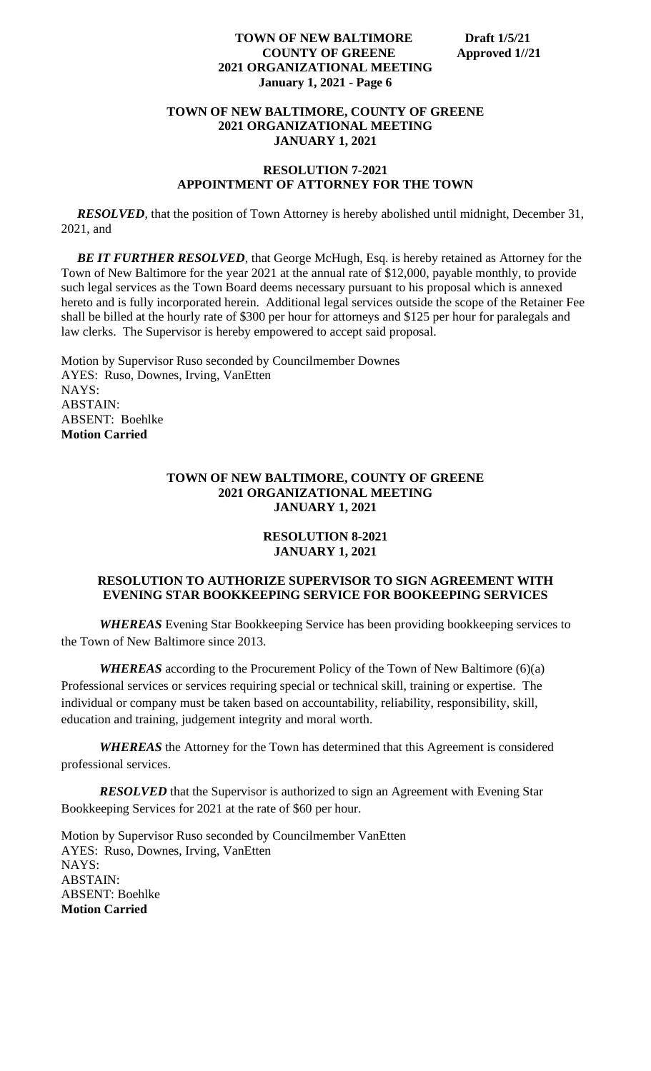# **TOWN OF NEW BALTIMORE, COUNTY OF GREENE 2021 ORGANIZATIONAL MEETING JANUARY 1, 2021**

# **RESOLUTION 7-2021 APPOINTMENT OF ATTORNEY FOR THE TOWN**

*RESOLVED*, that the position of Town Attorney is hereby abolished until midnight, December 31, 2021, and

**BE IT FURTHER RESOLVED**, that George McHugh, Esq. is hereby retained as Attorney for the Town of New Baltimore for the year 2021 at the annual rate of \$12,000, payable monthly, to provide such legal services as the Town Board deems necessary pursuant to his proposal which is annexed hereto and is fully incorporated herein. Additional legal services outside the scope of the Retainer Fee shall be billed at the hourly rate of \$300 per hour for attorneys and \$125 per hour for paralegals and law clerks. The Supervisor is hereby empowered to accept said proposal.

Motion by Supervisor Ruso seconded by Councilmember Downes AYES: Ruso, Downes, Irving, VanEtten NAYS: ABSTAIN: ABSENT: Boehlke **Motion Carried**

# **TOWN OF NEW BALTIMORE, COUNTY OF GREENE 2021 ORGANIZATIONAL MEETING JANUARY 1, 2021**

# **RESOLUTION 8-2021 JANUARY 1, 2021**

# **RESOLUTION TO AUTHORIZE SUPERVISOR TO SIGN AGREEMENT WITH EVENING STAR BOOKKEEPING SERVICE FOR BOOKEEPING SERVICES**

*WHEREAS* Evening Star Bookkeeping Service has been providing bookkeeping services to the Town of New Baltimore since 2013.

*WHEREAS* according to the Procurement Policy of the Town of New Baltimore (6)(a) Professional services or services requiring special or technical skill, training or expertise. The individual or company must be taken based on accountability, reliability, responsibility, skill, education and training, judgement integrity and moral worth.

*WHEREAS* the Attorney for the Town has determined that this Agreement is considered professional services.

*RESOLVED* that the Supervisor is authorized to sign an Agreement with Evening Star Bookkeeping Services for 2021 at the rate of \$60 per hour.

Motion by Supervisor Ruso seconded by Councilmember VanEtten AYES: Ruso, Downes, Irving, VanEtten NAYS: ABSTAIN: ABSENT: Boehlke **Motion Carried**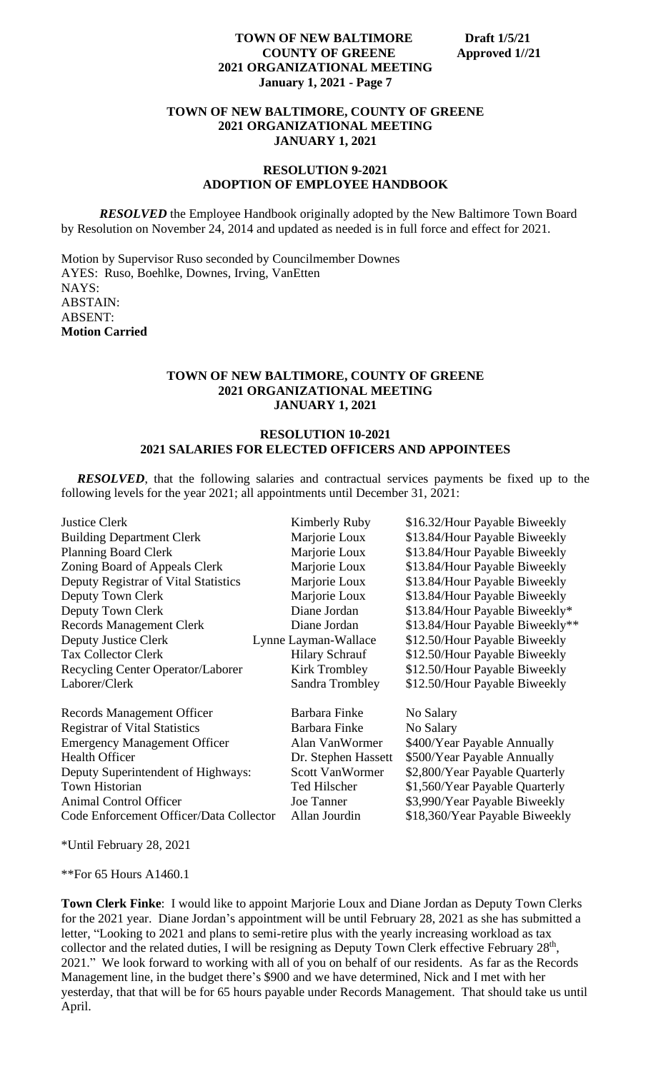## **TOWN OF NEW BALTIMORE, COUNTY OF GREENE 2021 ORGANIZATIONAL MEETING JANUARY 1, 2021**

## **RESOLUTION 9-2021 ADOPTION OF EMPLOYEE HANDBOOK**

**RESOLVED** the Employee Handbook originally adopted by the New Baltimore Town Board by Resolution on November 24, 2014 and updated as needed is in full force and effect for 2021.

Motion by Supervisor Ruso seconded by Councilmember Downes AYES: Ruso, Boehlke, Downes, Irving, VanEtten NAYS: ABSTAIN: ABSENT: **Motion Carried**

# **TOWN OF NEW BALTIMORE, COUNTY OF GREENE 2021 ORGANIZATIONAL MEETING JANUARY 1, 2021**

# **RESOLUTION 10-2021 2021 SALARIES FOR ELECTED OFFICERS AND APPOINTEES**

 *RESOLVED*, that the following salaries and contractual services payments be fixed up to the following levels for the year 2021; all appointments until December 31, 2021:

| <b>Justice Clerk</b>                    | Kimberly Ruby          | \$16.32/Hour Payable Biweekly   |
|-----------------------------------------|------------------------|---------------------------------|
| <b>Building Department Clerk</b>        | Marjorie Loux          | \$13.84/Hour Payable Biweekly   |
| <b>Planning Board Clerk</b>             | Marjorie Loux          | \$13.84/Hour Payable Biweekly   |
| Zoning Board of Appeals Clerk           | Marjorie Loux          | \$13.84/Hour Payable Biweekly   |
| Deputy Registrar of Vital Statistics    | Marjorie Loux          | \$13.84/Hour Payable Biweekly   |
| Deputy Town Clerk                       | Marjorie Loux          | \$13.84/Hour Payable Biweekly   |
| Deputy Town Clerk                       | Diane Jordan           | \$13.84/Hour Payable Biweekly*  |
| <b>Records Management Clerk</b>         | Diane Jordan           | \$13.84/Hour Payable Biweekly** |
| Deputy Justice Clerk                    | Lynne Layman-Wallace   | \$12.50/Hour Payable Biweekly   |
| <b>Tax Collector Clerk</b>              | <b>Hilary Schrauf</b>  | \$12.50/Hour Payable Biweekly   |
| Recycling Center Operator/Laborer       | <b>Kirk Trombley</b>   | \$12.50/Hour Payable Biweekly   |
| Laborer/Clerk                           | Sandra Trombley        | \$12.50/Hour Payable Biweekly   |
| <b>Records Management Officer</b>       | Barbara Finke          | No Salary                       |
| <b>Registrar of Vital Statistics</b>    | Barbara Finke          | No Salary                       |
| <b>Emergency Management Officer</b>     | Alan VanWormer         | \$400/Year Payable Annually     |
| <b>Health Officer</b>                   | Dr. Stephen Hassett    | \$500/Year Payable Annually     |
| Deputy Superintendent of Highways:      | <b>Scott VanWormer</b> | \$2,800/Year Payable Quarterly  |
| Town Historian                          | Ted Hilscher           | \$1,560/Year Payable Quarterly  |
| <b>Animal Control Officer</b>           | Joe Tanner             | \$3,990/Year Payable Biweekly   |
| Code Enforcement Officer/Data Collector | Allan Jourdin          | \$18,360/Year Payable Biweekly  |

\*Until February 28, 2021

\*\*For 65 Hours A1460.1

**Town Clerk Finke**: I would like to appoint Marjorie Loux and Diane Jordan as Deputy Town Clerks for the 2021 year. Diane Jordan's appointment will be until February 28, 2021 as she has submitted a letter, "Looking to 2021 and plans to semi-retire plus with the yearly increasing workload as tax collector and the related duties, I will be resigning as Deputy Town Clerk effective February  $28<sup>th</sup>$ , 2021." We look forward to working with all of you on behalf of our residents. As far as the Records Management line, in the budget there's \$900 and we have determined, Nick and I met with her yesterday, that that will be for 65 hours payable under Records Management. That should take us until April.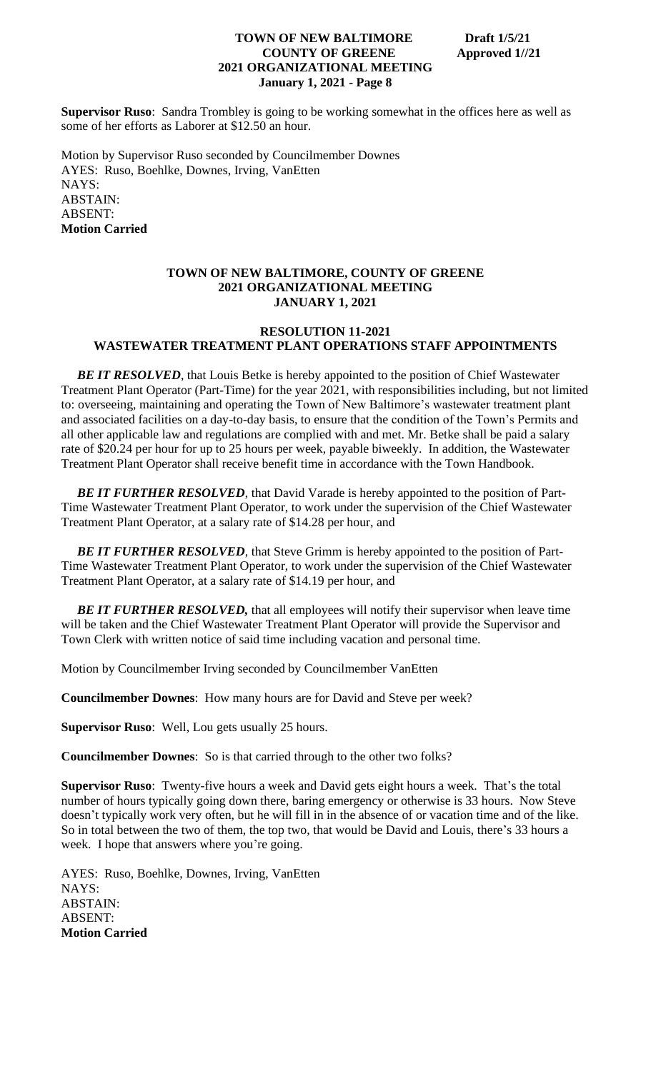**Supervisor Ruso**: Sandra Trombley is going to be working somewhat in the offices here as well as some of her efforts as Laborer at \$12.50 an hour.

Motion by Supervisor Ruso seconded by Councilmember Downes AYES: Ruso, Boehlke, Downes, Irving, VanEtten NAYS: ABSTAIN: ABSENT: **Motion Carried**

# **TOWN OF NEW BALTIMORE, COUNTY OF GREENE 2021 ORGANIZATIONAL MEETING JANUARY 1, 2021**

#### **RESOLUTION 11-2021 WASTEWATER TREATMENT PLANT OPERATIONS STAFF APPOINTMENTS**

**BE IT RESOLVED**, that Louis Betke is hereby appointed to the position of Chief Wastewater Treatment Plant Operator (Part-Time) for the year 2021, with responsibilities including, but not limited to: overseeing, maintaining and operating the Town of New Baltimore's wastewater treatment plant and associated facilities on a day-to-day basis, to ensure that the condition of the Town's Permits and all other applicable law and regulations are complied with and met. Mr. Betke shall be paid a salary rate of \$20.24 per hour for up to 25 hours per week, payable biweekly. In addition, the Wastewater Treatment Plant Operator shall receive benefit time in accordance with the Town Handbook.

**BE IT FURTHER RESOLVED**, that David Varade is hereby appointed to the position of Part-Time Wastewater Treatment Plant Operator, to work under the supervision of the Chief Wastewater Treatment Plant Operator, at a salary rate of \$14.28 per hour, and

**BE IT FURTHER RESOLVED**, that Steve Grimm is hereby appointed to the position of Part-Time Wastewater Treatment Plant Operator, to work under the supervision of the Chief Wastewater Treatment Plant Operator, at a salary rate of \$14.19 per hour, and

**BE IT FURTHER RESOLVED, that all employees will notify their supervisor when leave time** will be taken and the Chief Wastewater Treatment Plant Operator will provide the Supervisor and Town Clerk with written notice of said time including vacation and personal time.

Motion by Councilmember Irving seconded by Councilmember VanEtten

**Councilmember Downes**: How many hours are for David and Steve per week?

**Supervisor Ruso**: Well, Lou gets usually 25 hours.

**Councilmember Downes**: So is that carried through to the other two folks?

**Supervisor Ruso**: Twenty-five hours a week and David gets eight hours a week. That's the total number of hours typically going down there, baring emergency or otherwise is 33 hours. Now Steve doesn't typically work very often, but he will fill in in the absence of or vacation time and of the like. So in total between the two of them, the top two, that would be David and Louis, there's 33 hours a week. I hope that answers where you're going.

AYES: Ruso, Boehlke, Downes, Irving, VanEtten NAYS: ABSTAIN: ABSENT: **Motion Carried**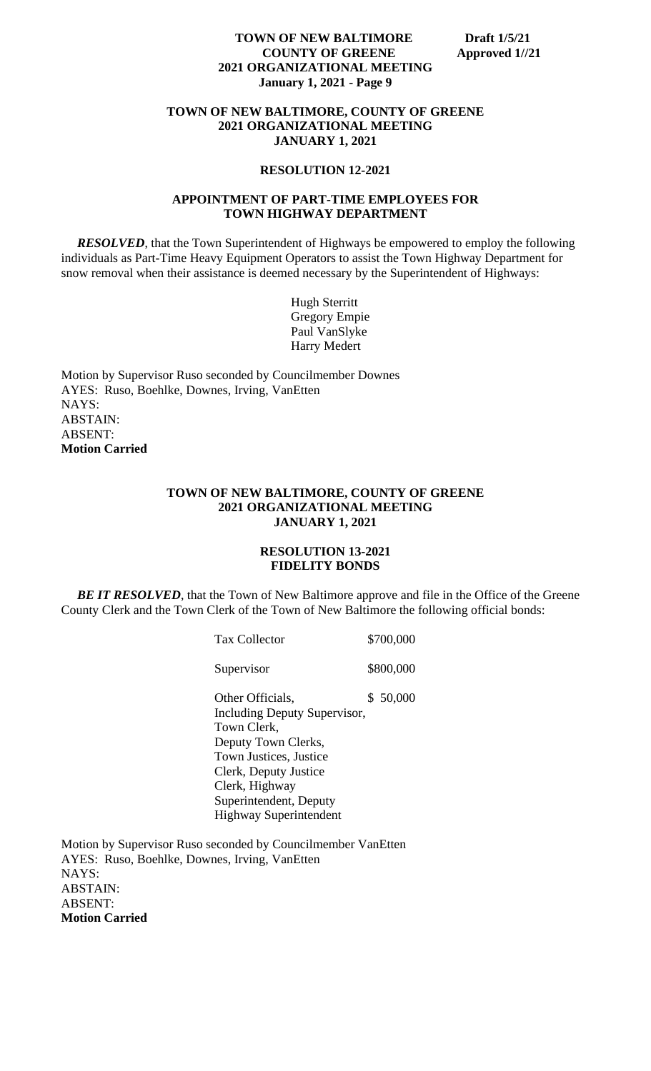#### **TOWN OF NEW BALTIMORE, COUNTY OF GREENE 2021 ORGANIZATIONAL MEETING JANUARY 1, 2021**

#### **RESOLUTION 12-2021**

#### **APPOINTMENT OF PART-TIME EMPLOYEES FOR TOWN HIGHWAY DEPARTMENT**

 *RESOLVED*, that the Town Superintendent of Highways be empowered to employ the following individuals as Part-Time Heavy Equipment Operators to assist the Town Highway Department for snow removal when their assistance is deemed necessary by the Superintendent of Highways:

> Hugh Sterritt Gregory Empie Paul VanSlyke Harry Medert

Motion by Supervisor Ruso seconded by Councilmember Downes AYES: Ruso, Boehlke, Downes, Irving, VanEtten NAYS: ABSTAIN: ABSENT: **Motion Carried**

#### **TOWN OF NEW BALTIMORE, COUNTY OF GREENE 2021 ORGANIZATIONAL MEETING JANUARY 1, 2021**

#### **RESOLUTION 13-2021 FIDELITY BONDS**

**BE IT RESOLVED**, that the Town of New Baltimore approve and file in the Office of the Greene County Clerk and the Town Clerk of the Town of New Baltimore the following official bonds:

| <b>Tax Collector</b>          |  | \$700,000 |
|-------------------------------|--|-----------|
| Supervisor                    |  | \$800,000 |
| Other Officials,              |  | \$ 50,000 |
| Including Deputy Supervisor,  |  |           |
| Town Clerk,                   |  |           |
| Deputy Town Clerks,           |  |           |
| <b>Town Justices, Justice</b> |  |           |
| Clerk, Deputy Justice         |  |           |
| Clerk, Highway                |  |           |
| Superintendent, Deputy        |  |           |
| <b>Highway Superintendent</b> |  |           |

Motion by Supervisor Ruso seconded by Councilmember VanEtten AYES: Ruso, Boehlke, Downes, Irving, VanEtten NAYS: ABSTAIN: ABSENT: **Motion Carried**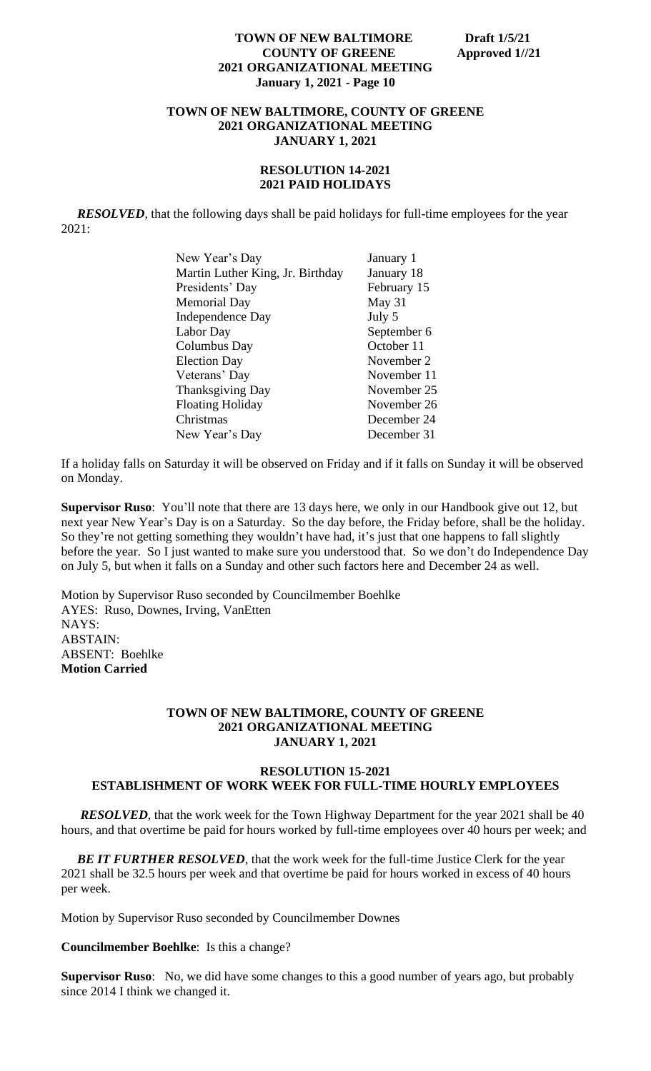## **TOWN OF NEW BALTIMORE, COUNTY OF GREENE 2021 ORGANIZATIONAL MEETING JANUARY 1, 2021**

# **RESOLUTION 14-2021 2021 PAID HOLIDAYS**

*RESOLVED*, that the following days shall be paid holidays for full-time employees for the year 2021:

| New Year's Day                   | January 1   |
|----------------------------------|-------------|
| Martin Luther King, Jr. Birthday | January 18  |
| Presidents' Day                  | February 15 |
| <b>Memorial Day</b>              | May 31      |
| Independence Day                 | July 5      |
| Labor Day                        | September 6 |
| Columbus Day                     | October 11  |
| <b>Election Day</b>              | November 2  |
| Veterans' Day                    | November 11 |
| <b>Thanksgiving Day</b>          | November 25 |
| <b>Floating Holiday</b>          | November 26 |
| Christmas                        | December 24 |
| New Year's Day                   | December 31 |

If a holiday falls on Saturday it will be observed on Friday and if it falls on Sunday it will be observed on Monday.

**Supervisor Ruso**: You'll note that there are 13 days here, we only in our Handbook give out 12, but next year New Year's Day is on a Saturday. So the day before, the Friday before, shall be the holiday. So they're not getting something they wouldn't have had, it's just that one happens to fall slightly before the year. So I just wanted to make sure you understood that. So we don't do Independence Day on July 5, but when it falls on a Sunday and other such factors here and December 24 as well.

Motion by Supervisor Ruso seconded by Councilmember Boehlke AYES: Ruso, Downes, Irving, VanEtten NAYS: ABSTAIN: ABSENT: Boehlke **Motion Carried**

#### **TOWN OF NEW BALTIMORE, COUNTY OF GREENE 2021 ORGANIZATIONAL MEETING JANUARY 1, 2021**

# **RESOLUTION 15-2021 ESTABLISHMENT OF WORK WEEK FOR FULL-TIME HOURLY EMPLOYEES**

*RESOLVED*, that the work week for the Town Highway Department for the year 2021 shall be 40 hours, and that overtime be paid for hours worked by full-time employees over 40 hours per week; and

**BE IT FURTHER RESOLVED**, that the work week for the full-time Justice Clerk for the year 2021 shall be 32.5 hours per week and that overtime be paid for hours worked in excess of 40 hours per week.

Motion by Supervisor Ruso seconded by Councilmember Downes

**Councilmember Boehlke**: Is this a change?

**Supervisor Ruso**: No, we did have some changes to this a good number of years ago, but probably since 2014 I think we changed it.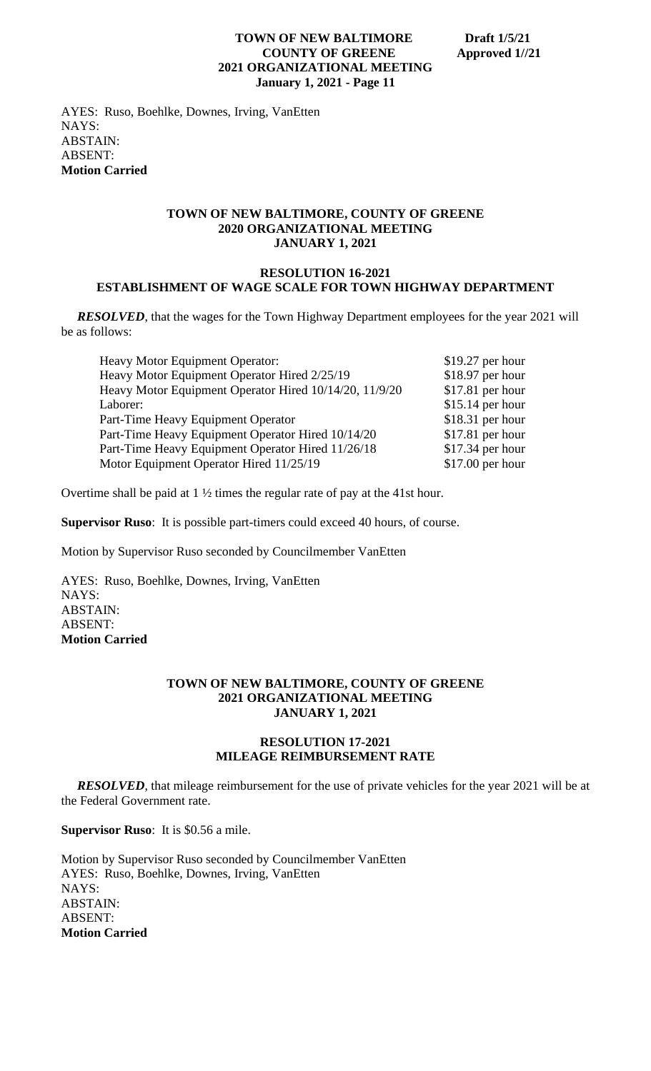AYES: Ruso, Boehlke, Downes, Irving, VanEtten NAYS: ABSTAIN: ABSENT: **Motion Carried**

#### **TOWN OF NEW BALTIMORE, COUNTY OF GREENE 2020 ORGANIZATIONAL MEETING JANUARY 1, 2021**

## **RESOLUTION 16-2021 ESTABLISHMENT OF WAGE SCALE FOR TOWN HIGHWAY DEPARTMENT**

*RESOLVED*, that the wages for the Town Highway Department employees for the year 2021 will be as follows:

| <b>Heavy Motor Equipment Operator:</b>                 | $$19.27$ per hour |
|--------------------------------------------------------|-------------------|
| Heavy Motor Equipment Operator Hired 2/25/19           | $$18.97$ per hour |
| Heavy Motor Equipment Operator Hired 10/14/20, 11/9/20 | $$17.81$ per hour |
| Laborer:                                               | $$15.14$ per hour |
| Part-Time Heavy Equipment Operator                     | $$18.31$ per hour |
| Part-Time Heavy Equipment Operator Hired 10/14/20      | $$17.81$ per hour |
| Part-Time Heavy Equipment Operator Hired 11/26/18      | $$17.34$ per hour |
| Motor Equipment Operator Hired 11/25/19                | $$17.00$ per hour |
|                                                        |                   |

Overtime shall be paid at 1 ½ times the regular rate of pay at the 41st hour.

**Supervisor Ruso**: It is possible part-timers could exceed 40 hours, of course.

Motion by Supervisor Ruso seconded by Councilmember VanEtten

AYES: Ruso, Boehlke, Downes, Irving, VanEtten NAYS: ABSTAIN: ABSENT: **Motion Carried**

#### **TOWN OF NEW BALTIMORE, COUNTY OF GREENE 2021 ORGANIZATIONAL MEETING JANUARY 1, 2021**

#### **RESOLUTION 17-2021 MILEAGE REIMBURSEMENT RATE**

 *RESOLVED*, that mileage reimbursement for the use of private vehicles for the year 2021 will be at the Federal Government rate.

**Supervisor Ruso**: It is \$0.56 a mile.

Motion by Supervisor Ruso seconded by Councilmember VanEtten AYES: Ruso, Boehlke, Downes, Irving, VanEtten NAYS: ABSTAIN: ABSENT: **Motion Carried**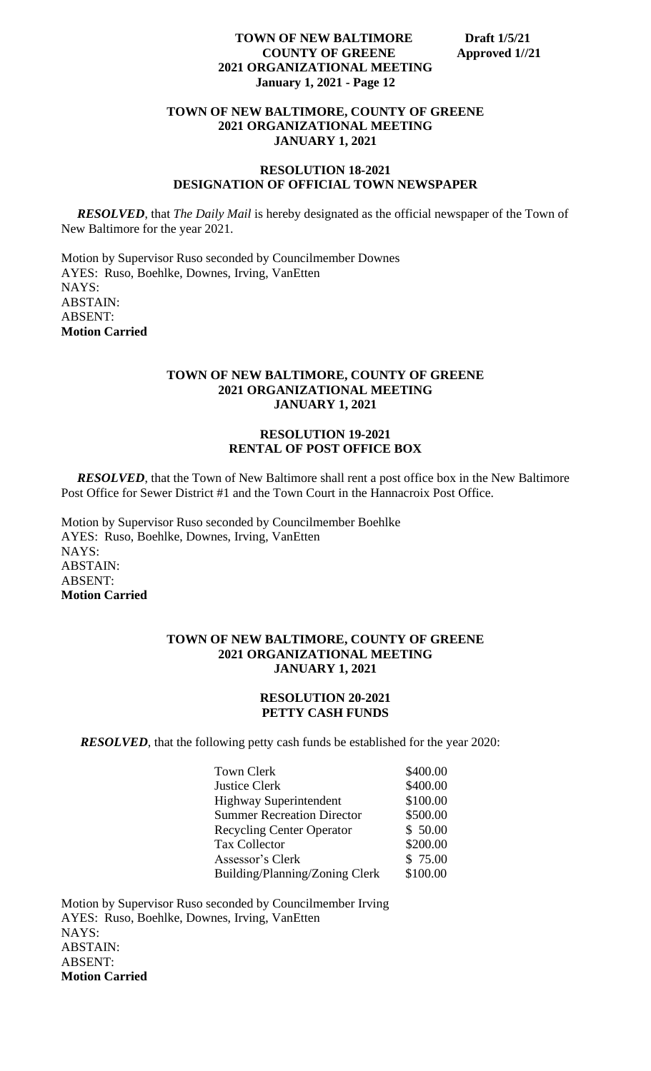## **TOWN OF NEW BALTIMORE, COUNTY OF GREENE 2021 ORGANIZATIONAL MEETING JANUARY 1, 2021**

#### **RESOLUTION 18-2021 DESIGNATION OF OFFICIAL TOWN NEWSPAPER**

*RESOLVED*, that *The Daily Mail* is hereby designated as the official newspaper of the Town of New Baltimore for the year 2021.

Motion by Supervisor Ruso seconded by Councilmember Downes AYES: Ruso, Boehlke, Downes, Irving, VanEtten NAYS: ABSTAIN: ABSENT: **Motion Carried**

# **TOWN OF NEW BALTIMORE, COUNTY OF GREENE 2021 ORGANIZATIONAL MEETING JANUARY 1, 2021**

# **RESOLUTION 19-2021 RENTAL OF POST OFFICE BOX**

*RESOLVED*, that the Town of New Baltimore shall rent a post office box in the New Baltimore Post Office for Sewer District #1 and the Town Court in the Hannacroix Post Office.

Motion by Supervisor Ruso seconded by Councilmember Boehlke AYES: Ruso, Boehlke, Downes, Irving, VanEtten NAYS: ABSTAIN: ABSENT: **Motion Carried**

## **TOWN OF NEW BALTIMORE, COUNTY OF GREENE 2021 ORGANIZATIONAL MEETING JANUARY 1, 2021**

#### **RESOLUTION 20-2021 PETTY CASH FUNDS**

**RESOLVED**, that the following petty cash funds be established for the year 2020:

| Town Clerk                        | \$400.00 |
|-----------------------------------|----------|
| Justice Clerk                     | \$400.00 |
| <b>Highway Superintendent</b>     | \$100.00 |
| <b>Summer Recreation Director</b> | \$500.00 |
| <b>Recycling Center Operator</b>  | \$50.00  |
| <b>Tax Collector</b>              | \$200.00 |
| Assessor's Clerk                  | \$75.00  |
| Building/Planning/Zoning Clerk    | \$100.00 |

Motion by Supervisor Ruso seconded by Councilmember Irving AYES: Ruso, Boehlke, Downes, Irving, VanEtten NAYS: ABSTAIN: ABSENT: **Motion Carried**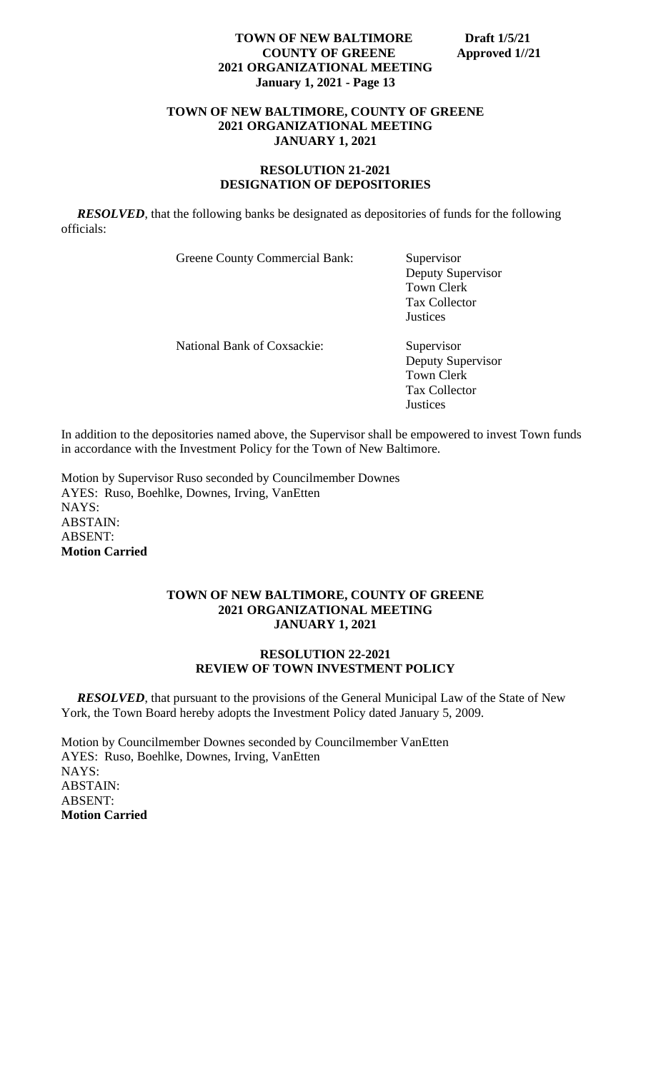# **TOWN OF NEW BALTIMORE, COUNTY OF GREENE 2021 ORGANIZATIONAL MEETING JANUARY 1, 2021**

## **RESOLUTION 21-2021 DESIGNATION OF DEPOSITORIES**

*RESOLVED*, that the following banks be designated as depositories of funds for the following officials:

Greene County Commercial Bank: Supervisor

Deputy Supervisor Town Clerk Tax Collector **Justices** 

National Bank of Coxsackie: Supervisor

Deputy Supervisor Town Clerk Tax Collector **Justices** 

In addition to the depositories named above, the Supervisor shall be empowered to invest Town funds in accordance with the Investment Policy for the Town of New Baltimore.

Motion by Supervisor Ruso seconded by Councilmember Downes AYES: Ruso, Boehlke, Downes, Irving, VanEtten NAYS: ABSTAIN: ABSENT: **Motion Carried**

#### **TOWN OF NEW BALTIMORE, COUNTY OF GREENE 2021 ORGANIZATIONAL MEETING JANUARY 1, 2021**

# **RESOLUTION 22-2021 REVIEW OF TOWN INVESTMENT POLICY**

 *RESOLVED*, that pursuant to the provisions of the General Municipal Law of the State of New York, the Town Board hereby adopts the Investment Policy dated January 5, 2009.

Motion by Councilmember Downes seconded by Councilmember VanEtten AYES: Ruso, Boehlke, Downes, Irving, VanEtten NAYS: ABSTAIN: ABSENT: **Motion Carried**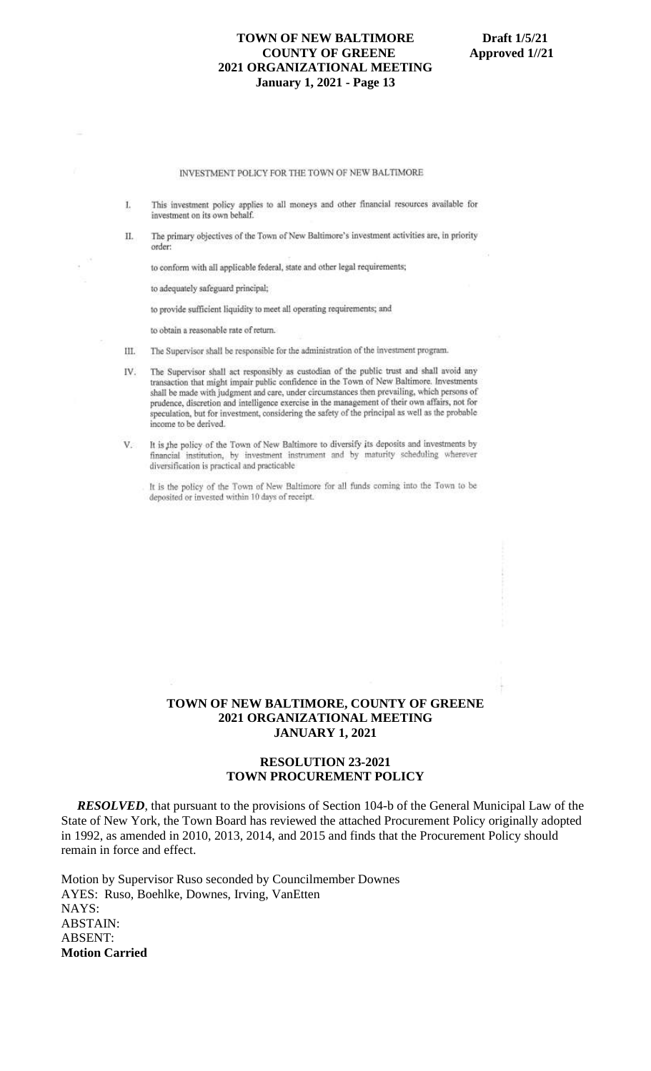#### INVESTMENT POLICY FOR THE TOWN OF NEW BALTIMORE

- This investment policy applies to all moneys and other financial resources available for T. investment on its own behalf.
- The primary objectives of the Town of New Baltimore's investment activities are, in priority Π. order:

to conform with all applicable federal, state and other legal requirements;

to adequately safeguard principal;

to provide sufficient liquidity to meet all operating requirements; and

to obtain a reasonable rate of return.

- III. The Supervisor shall be responsible for the administration of the investment program.
- The Supervisor shall act responsibly as custodian of the public trust and shall avoid any IV. transaction that might impair public confidence in the Town of New Baltimore. Investments shall be made with judgment and care, under circumstances then prevailing, which persons of prudence, discretion and intelligence exercise in the management of their own affairs, not for speculation, but for investment, considering the safety of the principal as well as the probable income to be derived.
- It is the policy of the Town of New Baltimore to diversify its deposits and investments by  $V$ financial institution, by investment instrument and by maturity scheduling wherever diversification is practical and practicable

It is the policy of the Town of New Baltimore for all funds coming into the Town to be deposited or invested within 10 days of receipt.

# **TOWN OF NEW BALTIMORE, COUNTY OF GREENE 2021 ORGANIZATIONAL MEETING JANUARY 1, 2021**

#### **RESOLUTION 23-2021 TOWN PROCUREMENT POLICY**

*RESOLVED*, that pursuant to the provisions of Section 104-b of the General Municipal Law of the State of New York, the Town Board has reviewed the attached Procurement Policy originally adopted in 1992, as amended in 2010, 2013, 2014, and 2015 and finds that the Procurement Policy should remain in force and effect.

Motion by Supervisor Ruso seconded by Councilmember Downes AYES: Ruso, Boehlke, Downes, Irving, VanEtten NAYS: ABSTAIN: ABSENT: **Motion Carried**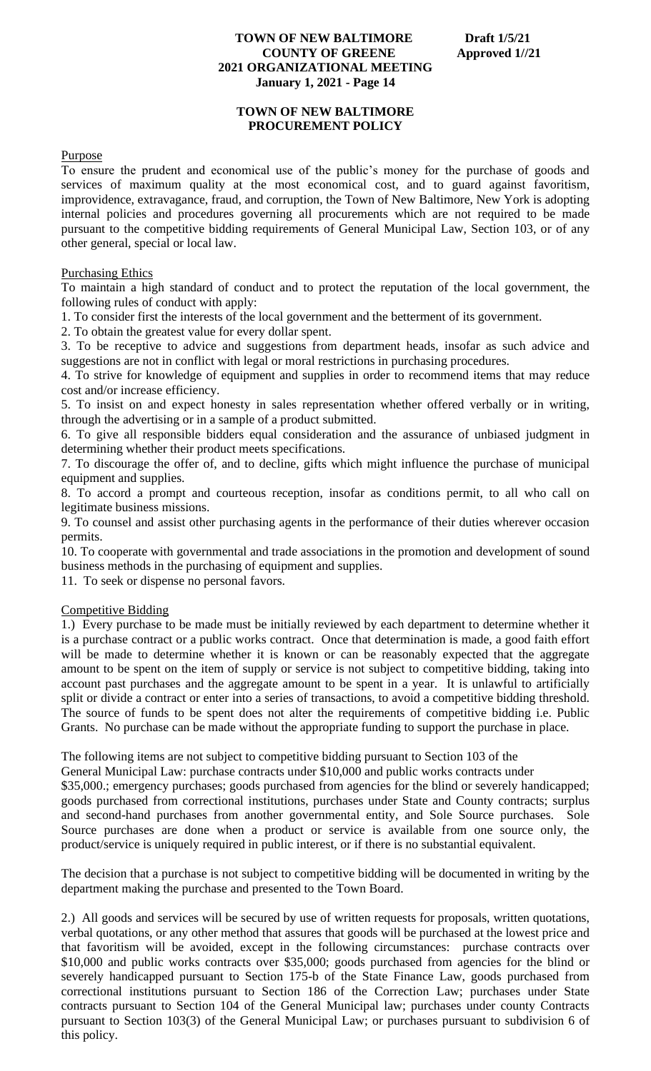# **TOWN OF NEW BALTIMORE PROCUREMENT POLICY**

# **Purpose**

To ensure the prudent and economical use of the public's money for the purchase of goods and services of maximum quality at the most economical cost, and to guard against favoritism, improvidence, extravagance, fraud, and corruption, the Town of New Baltimore, New York is adopting internal policies and procedures governing all procurements which are not required to be made pursuant to the competitive bidding requirements of General Municipal Law, Section 103, or of any other general, special or local law.

# Purchasing Ethics

To maintain a high standard of conduct and to protect the reputation of the local government, the following rules of conduct with apply:

1. To consider first the interests of the local government and the betterment of its government.

2. To obtain the greatest value for every dollar spent.

3. To be receptive to advice and suggestions from department heads, insofar as such advice and suggestions are not in conflict with legal or moral restrictions in purchasing procedures.

4. To strive for knowledge of equipment and supplies in order to recommend items that may reduce cost and/or increase efficiency.

5. To insist on and expect honesty in sales representation whether offered verbally or in writing, through the advertising or in a sample of a product submitted.

6. To give all responsible bidders equal consideration and the assurance of unbiased judgment in determining whether their product meets specifications.

7. To discourage the offer of, and to decline, gifts which might influence the purchase of municipal equipment and supplies.

8. To accord a prompt and courteous reception, insofar as conditions permit, to all who call on legitimate business missions.

9. To counsel and assist other purchasing agents in the performance of their duties wherever occasion permits.

10. To cooperate with governmental and trade associations in the promotion and development of sound business methods in the purchasing of equipment and supplies.

11. To seek or dispense no personal favors.

# Competitive Bidding

1.) Every purchase to be made must be initially reviewed by each department to determine whether it is a purchase contract or a public works contract. Once that determination is made, a good faith effort will be made to determine whether it is known or can be reasonably expected that the aggregate amount to be spent on the item of supply or service is not subject to competitive bidding, taking into account past purchases and the aggregate amount to be spent in a year. It is unlawful to artificially split or divide a contract or enter into a series of transactions, to avoid a competitive bidding threshold. The source of funds to be spent does not alter the requirements of competitive bidding i.e. Public Grants. No purchase can be made without the appropriate funding to support the purchase in place.

The following items are not subject to competitive bidding pursuant to Section 103 of the

product/service is uniquely required in public interest, or if there is no substantial equivalent.

General Municipal Law: purchase contracts under \$10,000 and public works contracts under \$35,000.; emergency purchases; goods purchased from agencies for the blind or severely handicapped; goods purchased from correctional institutions, purchases under State and County contracts; surplus and second-hand purchases from another governmental entity, and Sole Source purchases. Sole Source purchases are done when a product or service is available from one source only, the

The decision that a purchase is not subject to competitive bidding will be documented in writing by the department making the purchase and presented to the Town Board.

2.) All goods and services will be secured by use of written requests for proposals, written quotations, verbal quotations, or any other method that assures that goods will be purchased at the lowest price and that favoritism will be avoided, except in the following circumstances: purchase contracts over \$10,000 and public works contracts over \$35,000; goods purchased from agencies for the blind or severely handicapped pursuant to Section 175-b of the State Finance Law, goods purchased from correctional institutions pursuant to Section 186 of the Correction Law; purchases under State contracts pursuant to Section 104 of the General Municipal law; purchases under county Contracts pursuant to Section 103(3) of the General Municipal Law; or purchases pursuant to subdivision 6 of this policy.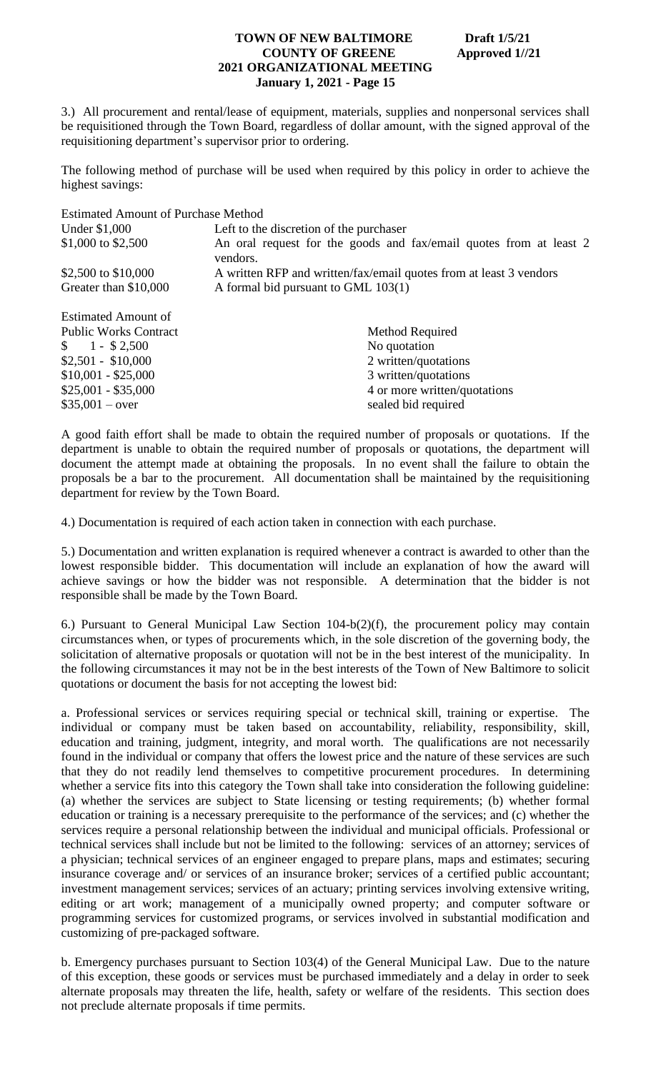3.) All procurement and rental/lease of equipment, materials, supplies and nonpersonal services shall be requisitioned through the Town Board, regardless of dollar amount, with the signed approval of the requisitioning department's supervisor prior to ordering.

The following method of purchase will be used when required by this policy in order to achieve the highest savings:

| <b>Estimated Amount of Purchase Method</b> |                                                                                |
|--------------------------------------------|--------------------------------------------------------------------------------|
| Under \$1,000                              | Left to the discretion of the purchaser                                        |
| \$1,000 to \$2,500                         | An oral request for the goods and fax/email quotes from at least 2<br>vendors. |
| \$2,500 to \$10,000                        | A written RFP and written/fax/email quotes from at least 3 vendors             |
| Greater than \$10,000                      | A formal bid pursuant to GML 103(1)                                            |
| <b>Estimated Amount of</b>                 |                                                                                |
| <b>Public Works Contract</b>               | Method Required                                                                |
| $$1 - $2500$                               | No quotation                                                                   |

| $\$\,$ 1 - \$2,500  | No quotation                 |
|---------------------|------------------------------|
| $$2,501 - $10,000$  | 2 written/quotations         |
| $$10,001 - $25,000$ | 3 written/quotations         |
| $$25,001 - $35,000$ | 4 or more written/quotations |
| $$35,001 - over$    | sealed bid required          |
|                     |                              |

A good faith effort shall be made to obtain the required number of proposals or quotations. If the department is unable to obtain the required number of proposals or quotations, the department will document the attempt made at obtaining the proposals. In no event shall the failure to obtain the proposals be a bar to the procurement. All documentation shall be maintained by the requisitioning department for review by the Town Board.

4.) Documentation is required of each action taken in connection with each purchase.

5.) Documentation and written explanation is required whenever a contract is awarded to other than the lowest responsible bidder. This documentation will include an explanation of how the award will achieve savings or how the bidder was not responsible. A determination that the bidder is not responsible shall be made by the Town Board.

6.) Pursuant to General Municipal Law Section 104-b(2)(f), the procurement policy may contain circumstances when, or types of procurements which, in the sole discretion of the governing body, the solicitation of alternative proposals or quotation will not be in the best interest of the municipality. In the following circumstances it may not be in the best interests of the Town of New Baltimore to solicit quotations or document the basis for not accepting the lowest bid:

a. Professional services or services requiring special or technical skill, training or expertise. The individual or company must be taken based on accountability, reliability, responsibility, skill, education and training, judgment, integrity, and moral worth. The qualifications are not necessarily found in the individual or company that offers the lowest price and the nature of these services are such that they do not readily lend themselves to competitive procurement procedures. In determining whether a service fits into this category the Town shall take into consideration the following guideline: (a) whether the services are subject to State licensing or testing requirements; (b) whether formal education or training is a necessary prerequisite to the performance of the services; and (c) whether the services require a personal relationship between the individual and municipal officials. Professional or technical services shall include but not be limited to the following: services of an attorney; services of a physician; technical services of an engineer engaged to prepare plans, maps and estimates; securing insurance coverage and/ or services of an insurance broker; services of a certified public accountant; investment management services; services of an actuary; printing services involving extensive writing, editing or art work; management of a municipally owned property; and computer software or programming services for customized programs, or services involved in substantial modification and customizing of pre-packaged software.

b. Emergency purchases pursuant to Section 103(4) of the General Municipal Law. Due to the nature of this exception, these goods or services must be purchased immediately and a delay in order to seek alternate proposals may threaten the life, health, safety or welfare of the residents. This section does not preclude alternate proposals if time permits.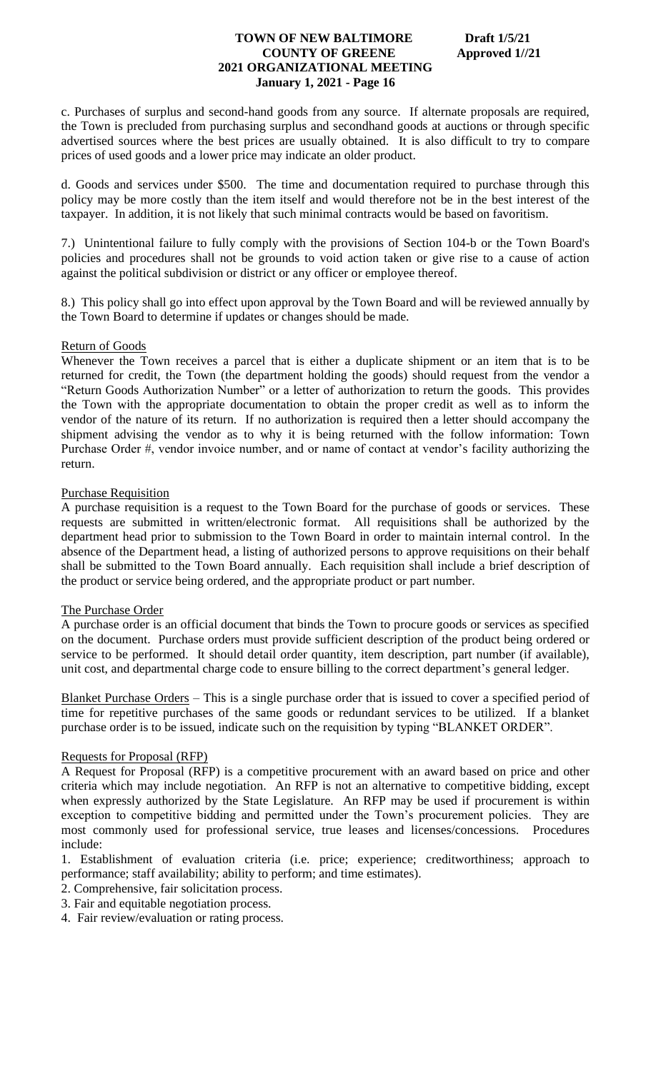c. Purchases of surplus and second-hand goods from any source. If alternate proposals are required, the Town is precluded from purchasing surplus and secondhand goods at auctions or through specific advertised sources where the best prices are usually obtained. It is also difficult to try to compare prices of used goods and a lower price may indicate an older product.

d. Goods and services under \$500. The time and documentation required to purchase through this policy may be more costly than the item itself and would therefore not be in the best interest of the taxpayer. In addition, it is not likely that such minimal contracts would be based on favoritism.

7.) Unintentional failure to fully comply with the provisions of Section 104-b or the Town Board's policies and procedures shall not be grounds to void action taken or give rise to a cause of action against the political subdivision or district or any officer or employee thereof.

8.) This policy shall go into effect upon approval by the Town Board and will be reviewed annually by the Town Board to determine if updates or changes should be made.

# Return of Goods

Whenever the Town receives a parcel that is either a duplicate shipment or an item that is to be returned for credit, the Town (the department holding the goods) should request from the vendor a "Return Goods Authorization Number" or a letter of authorization to return the goods. This provides the Town with the appropriate documentation to obtain the proper credit as well as to inform the vendor of the nature of its return. If no authorization is required then a letter should accompany the shipment advising the vendor as to why it is being returned with the follow information: Town Purchase Order #, vendor invoice number, and or name of contact at vendor's facility authorizing the return.

#### Purchase Requisition

A purchase requisition is a request to the Town Board for the purchase of goods or services. These requests are submitted in written/electronic format. All requisitions shall be authorized by the department head prior to submission to the Town Board in order to maintain internal control. In the absence of the Department head, a listing of authorized persons to approve requisitions on their behalf shall be submitted to the Town Board annually. Each requisition shall include a brief description of the product or service being ordered, and the appropriate product or part number.

#### The Purchase Order

A purchase order is an official document that binds the Town to procure goods or services as specified on the document. Purchase orders must provide sufficient description of the product being ordered or service to be performed. It should detail order quantity, item description, part number (if available), unit cost, and departmental charge code to ensure billing to the correct department's general ledger.

Blanket Purchase Orders – This is a single purchase order that is issued to cover a specified period of time for repetitive purchases of the same goods or redundant services to be utilized. If a blanket purchase order is to be issued, indicate such on the requisition by typing "BLANKET ORDER".

# Requests for Proposal (RFP)

A Request for Proposal (RFP) is a competitive procurement with an award based on price and other criteria which may include negotiation. An RFP is not an alternative to competitive bidding, except when expressly authorized by the State Legislature. An RFP may be used if procurement is within exception to competitive bidding and permitted under the Town's procurement policies. They are most commonly used for professional service, true leases and licenses/concessions. Procedures include:

1. Establishment of evaluation criteria (i.e. price; experience; creditworthiness; approach to performance; staff availability; ability to perform; and time estimates).

- 2. Comprehensive, fair solicitation process.
- 3. Fair and equitable negotiation process.
- 4. Fair review/evaluation or rating process.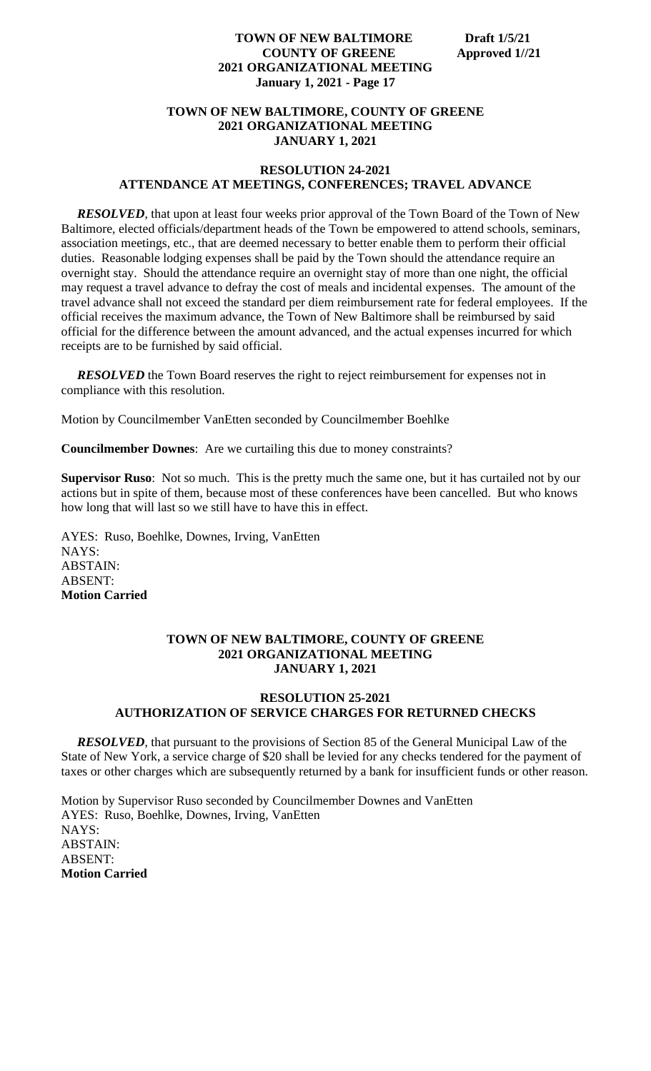# **TOWN OF NEW BALTIMORE, COUNTY OF GREENE 2021 ORGANIZATIONAL MEETING JANUARY 1, 2021**

## **RESOLUTION 24-2021 ATTENDANCE AT MEETINGS, CONFERENCES; TRAVEL ADVANCE**

*RESOLVED*, that upon at least four weeks prior approval of the Town Board of the Town of New Baltimore, elected officials/department heads of the Town be empowered to attend schools, seminars, association meetings, etc., that are deemed necessary to better enable them to perform their official duties. Reasonable lodging expenses shall be paid by the Town should the attendance require an overnight stay. Should the attendance require an overnight stay of more than one night, the official may request a travel advance to defray the cost of meals and incidental expenses. The amount of the travel advance shall not exceed the standard per diem reimbursement rate for federal employees. If the official receives the maximum advance, the Town of New Baltimore shall be reimbursed by said official for the difference between the amount advanced, and the actual expenses incurred for which receipts are to be furnished by said official.

**RESOLVED** the Town Board reserves the right to reject reimbursement for expenses not in compliance with this resolution.

Motion by Councilmember VanEtten seconded by Councilmember Boehlke

**Councilmember Downes**: Are we curtailing this due to money constraints?

**Supervisor Ruso**: Not so much. This is the pretty much the same one, but it has curtailed not by our actions but in spite of them, because most of these conferences have been cancelled. But who knows how long that will last so we still have to have this in effect.

AYES: Ruso, Boehlke, Downes, Irving, VanEtten NAYS: ABSTAIN: ABSENT: **Motion Carried**

## **TOWN OF NEW BALTIMORE, COUNTY OF GREENE 2021 ORGANIZATIONAL MEETING JANUARY 1, 2021**

# **RESOLUTION 25-2021 AUTHORIZATION OF SERVICE CHARGES FOR RETURNED CHECKS**

*RESOLVED*, that pursuant to the provisions of Section 85 of the General Municipal Law of the State of New York, a service charge of \$20 shall be levied for any checks tendered for the payment of taxes or other charges which are subsequently returned by a bank for insufficient funds or other reason.

Motion by Supervisor Ruso seconded by Councilmember Downes and VanEtten AYES: Ruso, Boehlke, Downes, Irving, VanEtten NAYS: ABSTAIN: ABSENT: **Motion Carried**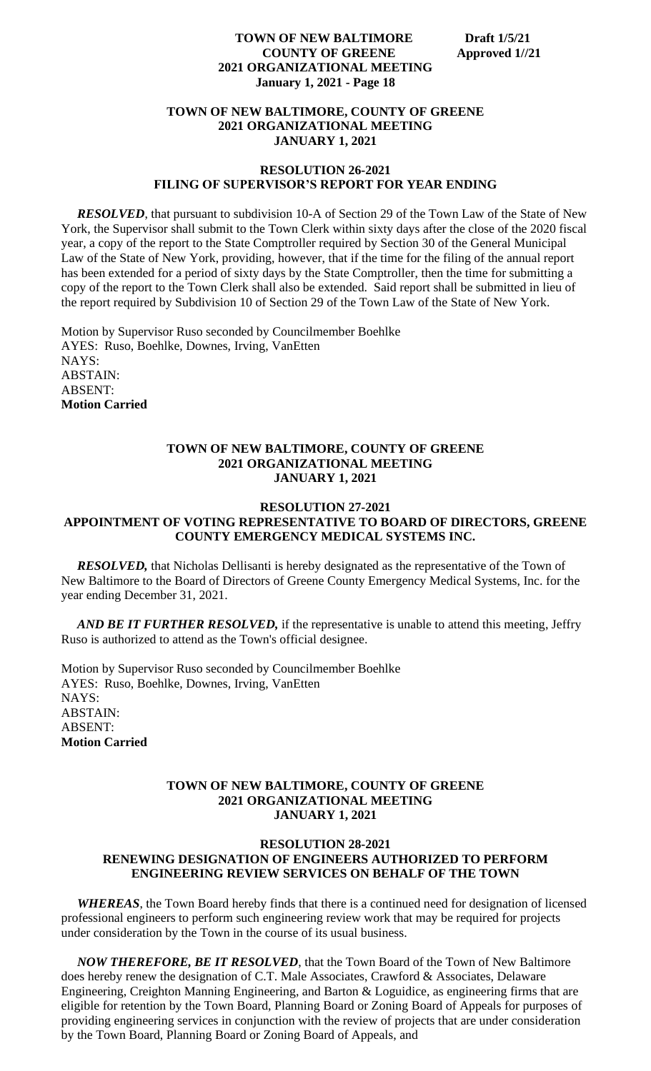#### **TOWN OF NEW BALTIMORE, COUNTY OF GREENE 2021 ORGANIZATIONAL MEETING JANUARY 1, 2021**

#### **RESOLUTION 26-2021 FILING OF SUPERVISOR'S REPORT FOR YEAR ENDING**

*RESOLVED*, that pursuant to subdivision 10-A of Section 29 of the Town Law of the State of New York, the Supervisor shall submit to the Town Clerk within sixty days after the close of the 2020 fiscal year, a copy of the report to the State Comptroller required by Section 30 of the General Municipal Law of the State of New York, providing, however, that if the time for the filing of the annual report has been extended for a period of sixty days by the State Comptroller, then the time for submitting a copy of the report to the Town Clerk shall also be extended. Said report shall be submitted in lieu of the report required by Subdivision 10 of Section 29 of the Town Law of the State of New York.

Motion by Supervisor Ruso seconded by Councilmember Boehlke AYES: Ruso, Boehlke, Downes, Irving, VanEtten NAYS: ABSTAIN: ABSENT: **Motion Carried**

#### **TOWN OF NEW BALTIMORE, COUNTY OF GREENE 2021 ORGANIZATIONAL MEETING JANUARY 1, 2021**

# **RESOLUTION 27-2021 APPOINTMENT OF VOTING REPRESENTATIVE TO BOARD OF DIRECTORS, GREENE COUNTY EMERGENCY MEDICAL SYSTEMS INC.**

 *RESOLVED,* that Nicholas Dellisanti is hereby designated as the representative of the Town of New Baltimore to the Board of Directors of Greene County Emergency Medical Systems, Inc. for the year ending December 31, 2021.

*AND BE IT FURTHER RESOLVED*, if the representative is unable to attend this meeting, Jeffry Ruso is authorized to attend as the Town's official designee.

Motion by Supervisor Ruso seconded by Councilmember Boehlke AYES: Ruso, Boehlke, Downes, Irving, VanEtten NAYS: ABSTAIN: ABSENT: **Motion Carried**

#### **TOWN OF NEW BALTIMORE, COUNTY OF GREENE 2021 ORGANIZATIONAL MEETING JANUARY 1, 2021**

# **RESOLUTION 28-2021 RENEWING DESIGNATION OF ENGINEERS AUTHORIZED TO PERFORM ENGINEERING REVIEW SERVICES ON BEHALF OF THE TOWN**

 *WHEREAS*, the Town Board hereby finds that there is a continued need for designation of licensed professional engineers to perform such engineering review work that may be required for projects under consideration by the Town in the course of its usual business.

 *NOW THEREFORE, BE IT RESOLVED*, that the Town Board of the Town of New Baltimore does hereby renew the designation of C.T. Male Associates, Crawford & Associates, Delaware Engineering, Creighton Manning Engineering, and Barton & Loguidice, as engineering firms that are eligible for retention by the Town Board, Planning Board or Zoning Board of Appeals for purposes of providing engineering services in conjunction with the review of projects that are under consideration by the Town Board, Planning Board or Zoning Board of Appeals, and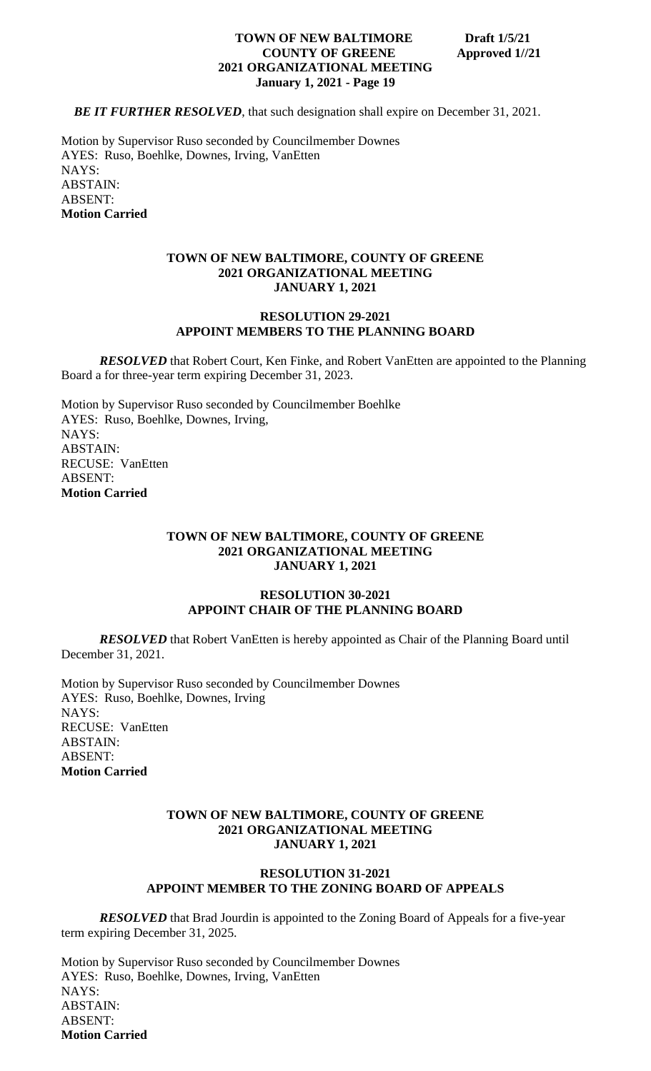**BE IT FURTHER RESOLVED**, that such designation shall expire on December 31, 2021.

Motion by Supervisor Ruso seconded by Councilmember Downes AYES: Ruso, Boehlke, Downes, Irving, VanEtten NAYS: ABSTAIN: ABSENT: **Motion Carried**

#### **TOWN OF NEW BALTIMORE, COUNTY OF GREENE 2021 ORGANIZATIONAL MEETING JANUARY 1, 2021**

#### **RESOLUTION 29-2021 APPOINT MEMBERS TO THE PLANNING BOARD**

*RESOLVED* that Robert Court, Ken Finke, and Robert VanEtten are appointed to the Planning Board a for three-year term expiring December 31, 2023.

Motion by Supervisor Ruso seconded by Councilmember Boehlke AYES: Ruso, Boehlke, Downes, Irving, NAYS: ABSTAIN: RECUSE: VanEtten ABSENT: **Motion Carried**

# **TOWN OF NEW BALTIMORE, COUNTY OF GREENE 2021 ORGANIZATIONAL MEETING JANUARY 1, 2021**

#### **RESOLUTION 30-2021 APPOINT CHAIR OF THE PLANNING BOARD**

**RESOLVED** that Robert VanEtten is hereby appointed as Chair of the Planning Board until December 31, 2021.

Motion by Supervisor Ruso seconded by Councilmember Downes AYES: Ruso, Boehlke, Downes, Irving NAYS: RECUSE: VanEtten ABSTAIN: ABSENT: **Motion Carried**

# **TOWN OF NEW BALTIMORE, COUNTY OF GREENE 2021 ORGANIZATIONAL MEETING JANUARY 1, 2021**

#### **RESOLUTION 31-2021 APPOINT MEMBER TO THE ZONING BOARD OF APPEALS**

*RESOLVED* that Brad Jourdin is appointed to the Zoning Board of Appeals for a five-year term expiring December 31, 2025.

Motion by Supervisor Ruso seconded by Councilmember Downes AYES: Ruso, Boehlke, Downes, Irving, VanEtten NAYS: ABSTAIN: ABSENT: **Motion Carried**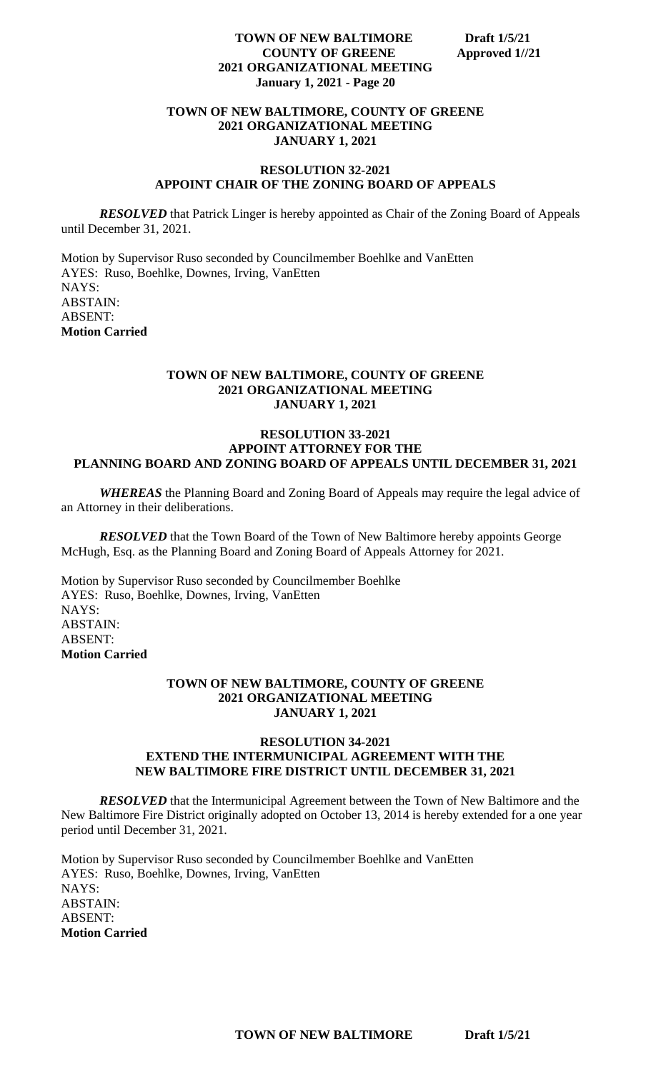## **TOWN OF NEW BALTIMORE, COUNTY OF GREENE 2021 ORGANIZATIONAL MEETING JANUARY 1, 2021**

# **RESOLUTION 32-2021 APPOINT CHAIR OF THE ZONING BOARD OF APPEALS**

*RESOLVED* that Patrick Linger is hereby appointed as Chair of the Zoning Board of Appeals until December 31, 2021.

Motion by Supervisor Ruso seconded by Councilmember Boehlke and VanEtten AYES: Ruso, Boehlke, Downes, Irving, VanEtten NAYS: ABSTAIN: ABSENT: **Motion Carried**

# **TOWN OF NEW BALTIMORE, COUNTY OF GREENE 2021 ORGANIZATIONAL MEETING JANUARY 1, 2021**

#### **RESOLUTION 33-2021 APPOINT ATTORNEY FOR THE PLANNING BOARD AND ZONING BOARD OF APPEALS UNTIL DECEMBER 31, 2021**

*WHEREAS* the Planning Board and Zoning Board of Appeals may require the legal advice of an Attorney in their deliberations.

*RESOLVED* that the Town Board of the Town of New Baltimore hereby appoints George McHugh, Esq. as the Planning Board and Zoning Board of Appeals Attorney for 2021.

Motion by Supervisor Ruso seconded by Councilmember Boehlke AYES: Ruso, Boehlke, Downes, Irving, VanEtten NAYS: ABSTAIN: ABSENT: **Motion Carried**

#### **TOWN OF NEW BALTIMORE, COUNTY OF GREENE 2021 ORGANIZATIONAL MEETING JANUARY 1, 2021**

#### **RESOLUTION 34-2021 EXTEND THE INTERMUNICIPAL AGREEMENT WITH THE NEW BALTIMORE FIRE DISTRICT UNTIL DECEMBER 31, 2021**

*RESOLVED* that the Intermunicipal Agreement between the Town of New Baltimore and the New Baltimore Fire District originally adopted on October 13, 2014 is hereby extended for a one year period until December 31, 2021.

Motion by Supervisor Ruso seconded by Councilmember Boehlke and VanEtten AYES: Ruso, Boehlke, Downes, Irving, VanEtten NAYS: ABSTAIN: ABSENT: **Motion Carried**